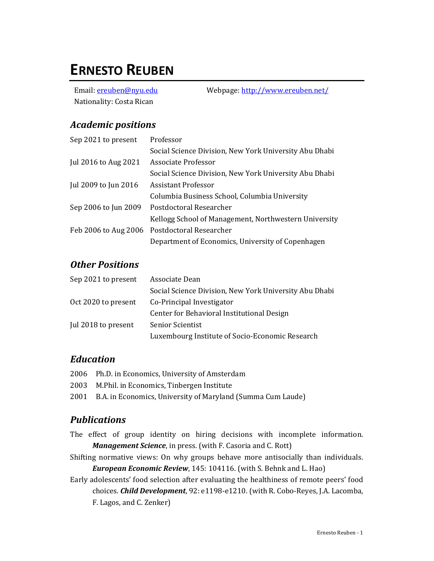# **ERNESTO REUBEN**

Nationality: Costa Rican

Email: <u>ereuben@nyu.edu</u> Webpage:<http://www.ereuben.net/>

## *Academic positions*

| Sep 2021 to present  | Professor                                              |
|----------------------|--------------------------------------------------------|
|                      | Social Science Division, New York University Abu Dhabi |
| Jul 2016 to Aug 2021 | Associate Professor                                    |
|                      | Social Science Division, New York University Abu Dhabi |
| Jul 2009 to Jun 2016 | Assistant Professor                                    |
|                      | Columbia Business School, Columbia University          |
| Sep 2006 to Jun 2009 | Postdoctoral Researcher                                |
|                      | Kellogg School of Management, Northwestern University  |
| Feb 2006 to Aug 2006 | Postdoctoral Researcher                                |
|                      | Department of Economics, University of Copenhagen      |

## *Other Positions*

| Sep 2021 to present | Associate Dean                                         |
|---------------------|--------------------------------------------------------|
|                     | Social Science Division, New York University Abu Dhabi |
| Oct 2020 to present | Co-Principal Investigator                              |
|                     | Center for Behavioral Institutional Design             |
| Jul 2018 to present | Senior Scientist                                       |
|                     | Luxembourg Institute of Socio-Economic Research        |

## *Education*

- 2006 Ph.D. in Economics, University of Amsterdam
- 2003 M.Phil. in Economics, Tinbergen Institute
- 2001 B.A. in Economics, University of Maryland (Summa Cum Laude)

## *Publications*

- The effect of group identity on hiring decisions with incomplete information. *Management Science*, in press. (with F. Casoria and C. Rott)
- Shifting normative views: On why groups behave more antisocially than individuals. *European Economic Review*, 145: 104116. (with S. Behnk and L. Hao)
- Early adolescents' food selection after evaluating the healthiness of remote peers' food choices. *Child Development*, 92: e1198-e1210. (with R. Cobo-Reyes, J.A. Lacomba, F. Lagos, and C. Zenker)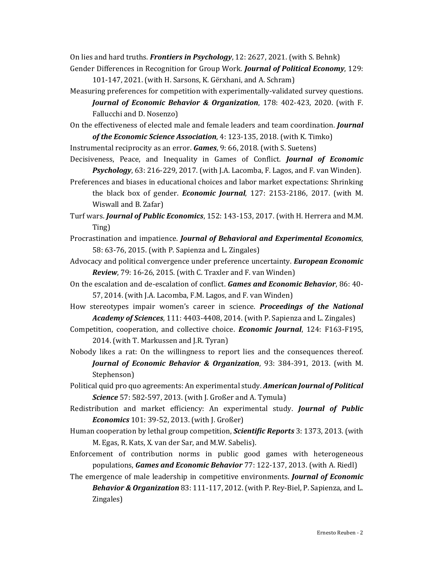On lies and hard truths. *Frontiers in Psychology*, 12: 2627, 2021. (with S. Behnk)

- Gender Differences in Recognition for Group Work. *Journal of Political Economy*, 129: 101-147, 2021. (with H. Sarsons, K. Gërxhani, and A. Schram)
- Measuring preferences for competition with experimentally-validated survey questions. *Journal of Economic Behavior & Organization*, 178: 402-423, 2020. (with F. Fallucchi and D. Nosenzo)

On the effectiveness of elected male and female leaders and team coordination. *Journal of the Economic Science Association*, 4: 123-135, 2018. (with K. Timko)

Instrumental reciprocity as an error. *Games*, 9: 66, 2018. (with S. Suetens)

Decisiveness, Peace, and Inequality in Games of Conflict. *Journal of Economic Psychology*, 63: 216-229, 2017. (with J.A. Lacomba, F. Lagos, and F. van Winden).

Preferences and biases in educational choices and labor market expectations: Shrinking the black box of gender. *Economic Journal*, 127: 2153-2186, 2017. (with M. Wiswall and B. Zafar)

Turf wars. *Journal of Public Economics*, 152: 143-153, 2017. (with H. Herrera and M.M. Ting)

- Procrastination and impatience. *Journal of Behavioral and Experimental Economics*, 58: 63-76, 2015. (with P. Sapienza and L. Zingales)
- Advocacy and political convergence under preference uncertainty. *European Economic Review*, 79: 16-26, 2015. (with C. Traxler and F. van Winden)
- On the escalation and de-escalation of conflict. *Games and Economic Behavior*, 86: 40- 57, 2014. (with J.A. Lacomba, F.M. Lagos, and F. van Winden)
- How stereotypes impair women's career in science. *Proceedings of the National Academy of Sciences*, 111: 4403-4408, 2014. (with P. Sapienza and L. Zingales)
- Competition, cooperation, and collective choice. *Economic Journal*, 124: F163-F195, 2014. (with T. Markussen and J.R. Tyran)
- Nobody likes a rat: On the willingness to report lies and the consequences thereof. *Journal of Economic Behavior & Organization*, 93: 384-391, 2013. (with M. Stephenson)
- Political quid pro quo agreements: An experimental study. *American Journal of Political Science* 57: 582-597, 2013. (with J. Großer and A. Tymula)
- Redistribution and market efficiency: An experimental study. *Journal of Public Economics* 101: 39-52, 2013. (with J. Großer)

Human cooperation by lethal group competition, *Scientific Reports* 3: 1373, 2013. (with M. Egas, R. Kats, X. van der Sar, and M.W. Sabelis).

- Enforcement of contribution norms in public good games with heterogeneous populations, *Games and Economic Behavior* 77: 122-137, 2013. (with A. Riedl)
- The emergence of male leadership in competitive environments. *Journal of Economic Behavior & Organization* 83: 111-117, 2012. (with P. Rey-Biel, P. Sapienza, and L. Zingales)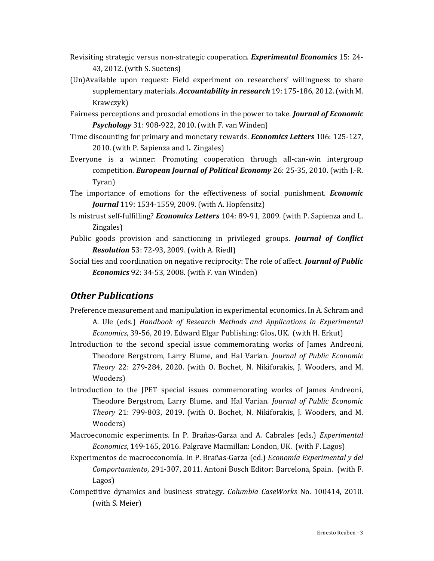- Revisiting strategic versus non-strategic cooperation. *Experimental Economics* 15: 24- 43, 2012. (with S. Suetens)
- (Un)Available upon request: Field experiment on researchers' willingness to share supplementary materials. *Accountability in research* 19: 175-186, 2012. (with M. Krawczyk)
- Fairness perceptions and prosocial emotions in the power to take. *Journal of Economic Psychology* 31: 908-922, 2010. (with F. van Winden)
- Time discounting for primary and monetary rewards. *Economics Letters* 106: 125-127, 2010. (with P. Sapienza and L. Zingales)
- Everyone is a winner: Promoting cooperation through all-can-win intergroup competition. *European Journal of Political Economy* 26: 25-35, 2010. (with J.-R. Tyran)
- The importance of emotions for the effectiveness of social punishment. *Economic Journal* 119: 1534-1559, 2009. (with A. Hopfensitz)
- Is mistrust self-fulfilling? *Economics Letters* 104: 89-91, 2009. (with P. Sapienza and L. Zingales)
- Public goods provision and sanctioning in privileged groups. *Journal of Conflict Resolution* 53: 72-93, 2009. (with A. Riedl)
- Social ties and coordination on negative reciprocity: The role of affect. *Journal of Public Economics* 92: 34-53, 2008. (with F. van Winden)

## *Other Publications*

- Preference measurement and manipulation in experimental economics. In A. Schram and A. Ule (eds.) *Handbook of Research Methods and Applications in Experimental Economics*, 39-56, 2019. Edward Elgar Publishing: Glos, UK. (with H. Erkut)
- Introduction to the second special issue commemorating works of James Andreoni, Theodore Bergstrom, Larry Blume, and Hal Varian. *Journal of Public Economic Theory* 22: 279-284, 2020. (with O. Bochet, N. Nikiforakis, J. Wooders, and M. Wooders)
- Introduction to the JPET special issues commemorating works of James Andreoni, Theodore Bergstrom, Larry Blume, and Hal Varian. *Journal of Public Economic Theory* 21: 799-803, 2019. (with O. Bochet, N. Nikiforakis, J. Wooders, and M. Wooders)
- Macroeconomic experiments. In P. Brañas-Garza and A. Cabrales (eds.) *Experimental Economics*, 149-165, 2016. Palgrave Macmillan: London, UK. (with F. Lagos)
- Experimentos de macroeconomía. In P. Brañas-Garza (ed.) *Economía Experimental y del Comportamiento*, 291-307, 2011. Antoni Bosch Editor: Barcelona, Spain. (with F. Lagos)
- Competitive dynamics and business strategy. *Columbia CaseWorks* No. 100414, 2010. (with S. Meier)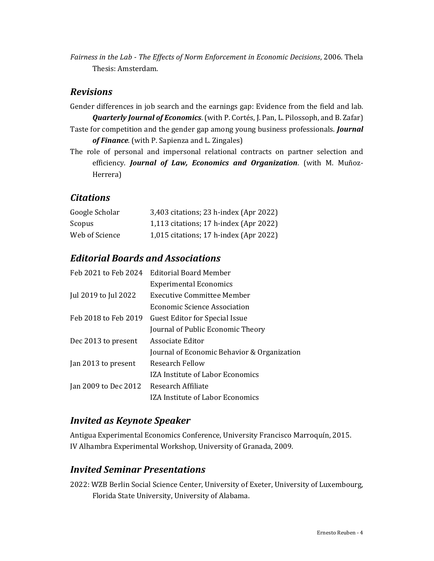*Fairness in the Lab - The Effects of Norm Enforcement in Economic Decisions*, 2006. Thela Thesis: Amsterdam.

#### *Revisions*

- Gender differences in job search and the earnings gap: Evidence from the field and lab. *Quarterly Journal of Economics*. (with P. Cortés, J. Pan, L. Pilossoph, and B. Zafar) Taste for competition and the gender gap among young business professionals. *Journal of Finance*. (with P. Sapienza and L. Zingales)
- The role of personal and impersonal relational contracts on partner selection and efficiency. *Journal of Law, Economics and Organization*. (with M. Muñoz-Herrera)

## *Citations*

| Google Scholar | 3,403 citations; 23 h-index (Apr 2022) |
|----------------|----------------------------------------|
| <b>Scopus</b>  | 1,113 citations; 17 h-index (Apr 2022) |
| Web of Science | 1,015 citations; 17 h-index (Apr 2022) |

# *Editorial Boards and Associations*

| Feb 2021 to Feb 2024 | <b>Editorial Board Member</b>               |
|----------------------|---------------------------------------------|
|                      | <b>Experimental Economics</b>               |
| Jul 2019 to Jul 2022 | Executive Committee Member                  |
|                      | Economic Science Association                |
| Feb 2018 to Feb 2019 | <b>Guest Editor for Special Issue</b>       |
|                      | Journal of Public Economic Theory           |
| Dec 2013 to present  | Associate Editor                            |
|                      | Journal of Economic Behavior & Organization |
| Jan 2013 to present  | Research Fellow                             |
|                      | IZA Institute of Labor Economics            |
| Jan 2009 to Dec 2012 | Research Affiliate                          |
|                      | IZA Institute of Labor Economics            |

## *Invited as Keynote Speaker*

Antigua Experimental Economics Conference, University Francisco Marroquín, 2015. IV Alhambra Experimental Workshop, University of Granada, 2009.

#### *Invited Seminar Presentations*

2022: WZB Berlin Social Science Center, University of Exeter, University of Luxembourg, Florida State University, University of Alabama.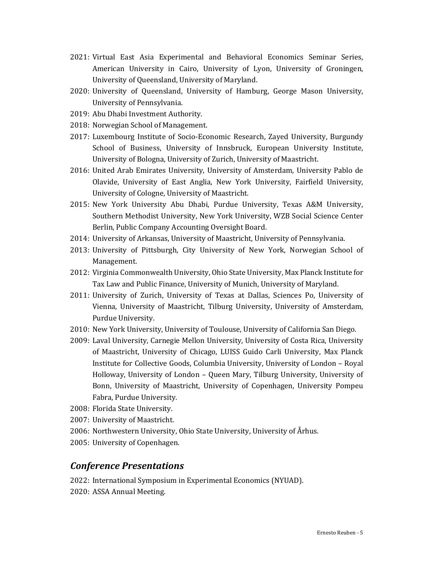- 2021: Virtual East Asia Experimental and Behavioral Economics Seminar Series, American University in Cairo, University of Lyon, University of Groningen, University of Queensland, University of Maryland.
- 2020: University of Queensland, University of Hamburg, George Mason University, University of Pennsylvania.
- 2019: Abu Dhabi Investment Authority.
- 2018: Norwegian School of Management.
- 2017: Luxembourg Institute of Socio-Economic Research, Zayed University, Burgundy School of Business, University of Innsbruck, European University Institute, University of Bologna, University of Zurich, University of Maastricht.
- 2016: United Arab Emirates University, University of Amsterdam, University Pablo de Olavide, University of East Anglia, New York University, Fairfield University, University of Cologne, University of Maastricht.
- 2015: New York University Abu Dhabi, Purdue University, Texas A&M University, Southern Methodist University, New York University, WZB Social Science Center Berlin, Public Company Accounting Oversight Board.
- 2014: University of Arkansas, University of Maastricht, University of Pennsylvania.
- 2013: University of Pittsburgh, City University of New York, Norwegian School of Management.
- 2012: Virginia Commonwealth University, Ohio State University, Max Planck Institute for Tax Law and Public Finance, University of Munich, University of Maryland.
- 2011: University of Zurich, University of Texas at Dallas, Sciences Po, University of Vienna, University of Maastricht, Tilburg University, University of Amsterdam, Purdue University.
- 2010: New York University, University of Toulouse, University of California San Diego.
- 2009: Laval University, Carnegie Mellon University, University of Costa Rica, University of Maastricht, University of Chicago, LUISS Guido Carli University, Max Planck Institute for Collective Goods, Columbia University, University of London – Royal Holloway, University of London – Queen Mary, Tilburg University, University of Bonn, University of Maastricht, University of Copenhagen, University Pompeu Fabra, Purdue University.
- 2008: Florida State University.
- 2007: University of Maastricht.
- 2006: Northwestern University, Ohio State University, University of Århus.
- 2005: University of Copenhagen.

#### *Conference Presentations*

2022: International Symposium in Experimental Economics (NYUAD). 2020: ASSA Annual Meeting.

Ernesto Reuben - 5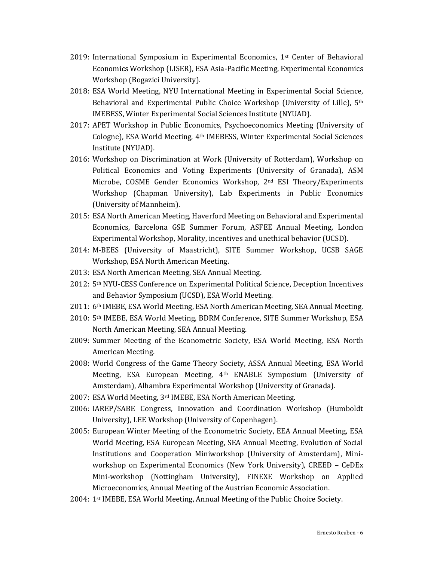- 2019: International Symposium in Experimental Economics, 1st Center of Behavioral Economics Workshop (LISER), ESA Asia-Pacific Meeting, Experimental Economics Workshop (Bogazici University).
- 2018: ESA World Meeting, NYU International Meeting in Experimental Social Science, Behavioral and Experimental Public Choice Workshop (University of Lille), 5th IMEBESS, Winter Experimental Social Sciences Institute (NYUAD).
- 2017: APET Workshop in Public Economics, Psychoeconomics Meeting (University of Cologne), ESA World Meeting, 4th IMEBESS, Winter Experimental Social Sciences Institute (NYUAD).
- 2016: Workshop on Discrimination at Work (University of Rotterdam), Workshop on Political Economics and Voting Experiments (University of Granada), ASM Microbe, COSME Gender Economics Workshop, 2nd ESI Theory/Experiments Workshop (Chapman University), Lab Experiments in Public Economics (University of Mannheim).
- 2015: ESA North American Meeting, Haverford Meeting on Behavioral and Experimental Economics, Barcelona GSE Summer Forum, ASFEE Annual Meeting, London Experimental Workshop, Morality, incentives and unethical behavior (UCSD).
- 2014: M-BEES (University of Maastricht), SITE Summer Workshop, UCSB SAGE Workshop, ESA North American Meeting.
- 2013: ESA North American Meeting, SEA Annual Meeting.
- 2012: 5th NYU-CESS Conference on Experimental Political Science, Deception Incentives and Behavior Symposium (UCSD), ESA World Meeting.
- 2011: 6th IMEBE, ESA World Meeting, ESA North American Meeting, SEA Annual Meeting.
- 2010: 5th IMEBE, ESA World Meeting, BDRM Conference, SITE Summer Workshop, ESA North American Meeting, SEA Annual Meeting.
- 2009: Summer Meeting of the Econometric Society, ESA World Meeting, ESA North American Meeting.
- 2008: World Congress of the Game Theory Society, ASSA Annual Meeting, ESA World Meeting, ESA European Meeting, 4th ENABLE Symposium (University of Amsterdam), Alhambra Experimental Workshop (University of Granada).
- 2007: ESA World Meeting, 3rd IMEBE, ESA North American Meeting.
- 2006: IAREP/SABE Congress, Innovation and Coordination Workshop (Humboldt University), LEE Workshop (University of Copenhagen).
- 2005: European Winter Meeting of the Econometric Society, EEA Annual Meeting, ESA World Meeting, ESA European Meeting, SEA Annual Meeting, Evolution of Social Institutions and Cooperation Miniworkshop (University of Amsterdam), Miniworkshop on Experimental Economics (New York University), CREED – CeDEx Mini-workshop (Nottingham University), FINEXE Workshop on Applied Microeconomics, Annual Meeting of the Austrian Economic Association.
- 2004: 1st IMEBE, ESA World Meeting, Annual Meeting of the Public Choice Society.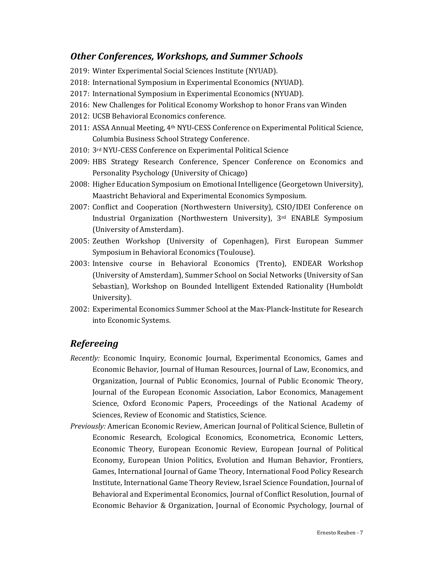## *Other Conferences, Workshops, and Summer Schools*

- 2019: Winter Experimental Social Sciences Institute (NYUAD).
- 2018: International Symposium in Experimental Economics (NYUAD).
- 2017: International Symposium in Experimental Economics (NYUAD).
- 2016: New Challenges for Political Economy Workshop to honor Frans van Winden
- 2012: UCSB Behavioral Economics conference.
- 2011: ASSA Annual Meeting, 4th NYU-CESS Conference on Experimental Political Science, Columbia Business School Strategy Conference.
- 2010: 3rd NYU-CESS Conference on Experimental Political Science
- 2009: HBS Strategy Research Conference, Spencer Conference on Economics and Personality Psychology (University of Chicago)
- 2008: Higher Education Symposium on Emotional Intelligence (Georgetown University), Maastricht Behavioral and Experimental Economics Symposium.
- 2007: Conflict and Cooperation (Northwestern University), CSIO/IDEI Conference on Industrial Organization (Northwestern University), 3rd ENABLE Symposium (University of Amsterdam).
- 2005: Zeuthen Workshop (University of Copenhagen), First European Summer Symposium in Behavioral Economics (Toulouse).
- 2003: Intensive course in Behavioral Economics (Trento), ENDEAR Workshop (University of Amsterdam), Summer School on Social Networks (University of San Sebastian), Workshop on Bounded Intelligent Extended Rationality (Humboldt University).
- 2002: Experimental Economics Summer School at the Max-Planck-Institute for Research into Economic Systems.

#### *Refereeing*

- *Recently:* Economic Inquiry, Economic Journal, Experimental Economics, Games and Economic Behavior, Journal of Human Resources, Journal of Law, Economics, and Organization, Journal of Public Economics, Journal of Public Economic Theory, Journal of the European Economic Association, Labor Economics, Management Science, Oxford Economic Papers, Proceedings of the National Academy of Sciences, Review of Economic and Statistics, Science.
- *Previously:* American Economic Review, American Journal of Political Science, Bulletin of Economic Research, Ecological Economics, Econometrica, Economic Letters, Economic Theory, European Economic Review, European Journal of Political Economy, European Union Politics, Evolution and Human Behavior, Frontiers, Games, International Journal of Game Theory, International Food Policy Research Institute, International Game Theory Review, Israel Science Foundation, Journal of Behavioral and Experimental Economics, Journal of Conflict Resolution, Journal of Economic Behavior & Organization, Journal of Economic Psychology, Journal of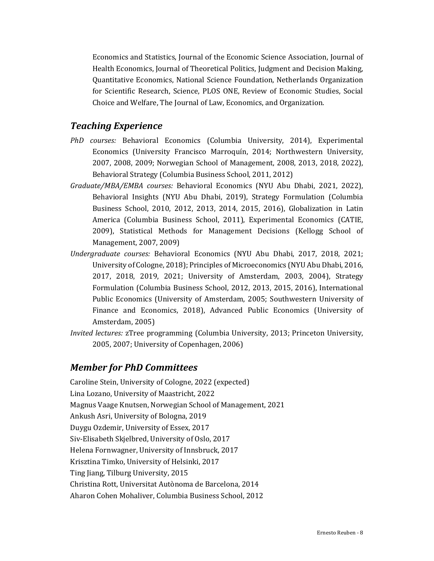Economics and Statistics, Journal of the Economic Science Association, Journal of Health Economics, Journal of Theoretical Politics, Judgment and Decision Making, Quantitative Economics, National Science Foundation, Netherlands Organization for Scientific Research, Science, PLOS ONE, Review of Economic Studies, Social Choice and Welfare, The Journal of Law, Economics, and Organization.

#### *Teaching Experience*

- *PhD courses:* Behavioral Economics (Columbia University, 2014), Experimental Economics (University Francisco Marroquín, 2014; Northwestern University, 2007, 2008, 2009; Norwegian School of Management, 2008, 2013, 2018, 2022), Behavioral Strategy (Columbia Business School, 2011, 2012)
- *Graduate/MBA/EMBA courses:* Behavioral Economics (NYU Abu Dhabi, 2021, 2022), Behavioral Insights (NYU Abu Dhabi, 2019), Strategy Formulation (Columbia Business School, 2010, 2012, 2013, 2014, 2015, 2016), Globalization in Latin America (Columbia Business School, 2011), Experimental Economics (CATIE, 2009), Statistical Methods for Management Decisions (Kellogg School of Management, 2007, 2009)
- *Undergraduate courses:* Behavioral Economics (NYU Abu Dhabi, 2017, 2018, 2021; University of Cologne, 2018); Principles of Microeconomics (NYU Abu Dhabi, 2016, 2017, 2018, 2019, 2021; University of Amsterdam, 2003, 2004), Strategy Formulation (Columbia Business School, 2012, 2013, 2015, 2016), International Public Economics (University of Amsterdam, 2005; Southwestern University of Finance and Economics, 2018), Advanced Public Economics (University of Amsterdam, 2005)
- *Invited lectures:* zTree programming (Columbia University, 2013; Princeton University, 2005, 2007; University of Copenhagen, 2006)

#### *Member for PhD Committees*

Caroline Stein, University of Cologne, 2022 (expected) Lina Lozano, University of Maastricht, 2022 Magnus Vaage Knutsen, Norwegian School of Management, 2021 Ankush Asri, University of Bologna, 2019 Duygu Ozdemir, University of Essex, 2017 Siv-Elisabeth Skjelbred, University of Oslo, 2017 Helena Fornwagner, University of Innsbruck, 2017 Krisztina Timko, University of Helsinki, 2017 Ting Jiang, Tilburg University, 2015 Christina Rott, Universitat Autònoma de Barcelona, 2014 Aharon Cohen Mohaliver, Columbia Business School, 2012